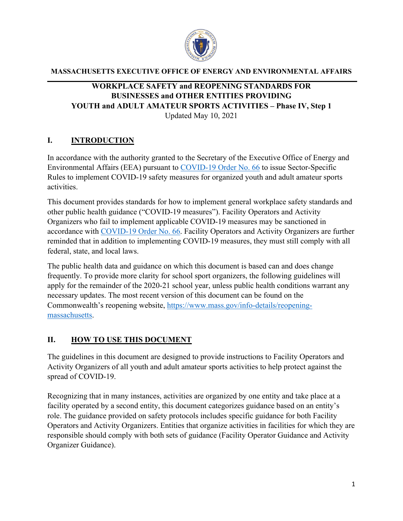

#### **MASSACHUSETTS EXECUTIVE OFFICE OF ENERGY AND ENVIRONMENTAL AFFAIRS**

#### **WORKPLACE SAFETY and REOPENING STANDARDS FOR BUSINESSES and OTHER ENTITIES PROVIDING YOUTH and ADULT AMATEUR SPORTS ACTIVITIES – Phase IV, Step 1** Updated May 10, 2021

#### **I. INTRODUCTION**

In accordance with the authority granted to the Secretary of the Executive Office of Energy and Environmental Affairs (EEA) pursuant to [COVID-19 Order No. 66](https://www.mass.gov/doc/covid-19-order-66/download?n) to issue Sector-Specific Rules to implement COVID-19 safety measures for organized youth and adult amateur sports activities.

This document provides standards for how to implement general workplace safety standards and other public health guidance ("COVID-19 measures"). Facility Operators and Activity Organizers who fail to implement applicable COVID-19 measures may be sanctioned in accordance with [COVID-19 Order No. 66.](https://www.mass.gov/doc/covid-19-order-66/download?n) Facility Operators and Activity Organizers are further reminded that in addition to implementing COVID-19 measures, they must still comply with all federal, state, and local laws.

The public health data and guidance on which this document is based can and does change frequently. To provide more clarity for school sport organizers, the following guidelines will apply for the remainder of the 2020-21 school year, unless public health conditions warrant any necessary updates. The most recent version of this document can be found on the Commonwealth's reopening website, [https://www.mass.gov/info-details/reopening](https://www.mass.gov/info-details/reopening-massachusetts)[massachusetts.](https://www.mass.gov/info-details/reopening-massachusetts)

#### **II. HOW TO USE THIS DOCUMENT**

The guidelines in this document are designed to provide instructions to Facility Operators and Activity Organizers of all youth and adult amateur sports activities to help protect against the spread of COVID-19.

Recognizing that in many instances, activities are organized by one entity and take place at a facility operated by a second entity, this document categorizes guidance based on an entity's role. The guidance provided on safety protocols includes specific guidance for both Facility Operators and Activity Organizers. Entities that organize activities in facilities for which they are responsible should comply with both sets of guidance (Facility Operator Guidance and Activity Organizer Guidance).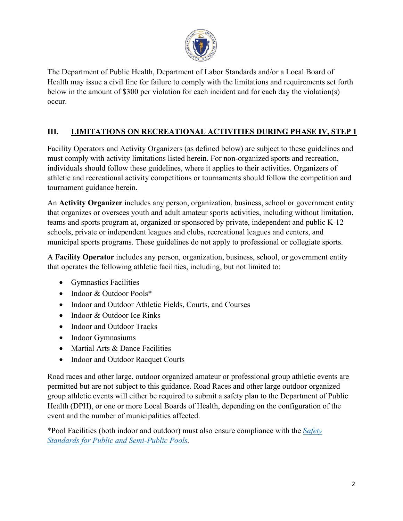

The Department of Public Health, Department of Labor Standards and/or a Local Board of Health may issue a civil fine for failure to comply with the limitations and requirements set forth below in the amount of \$300 per violation for each incident and for each day the violation(s) occur.

## **III. LIMITATIONS ON RECREATIONAL ACTIVITIES DURING PHASE IV, STEP 1**

Facility Operators and Activity Organizers (as defined below) are subject to these guidelines and must comply with activity limitations listed herein. For non-organized sports and recreation, individuals should follow these guidelines, where it applies to their activities. Organizers of athletic and recreational activity competitions or tournaments should follow the competition and tournament guidance herein.

An **Activity Organizer** includes any person, organization, business, school or government entity that organizes or oversees youth and adult amateur sports activities, including without limitation, teams and sports program at, organized or sponsored by private, independent and public K-12 schools, private or independent leagues and clubs, recreational leagues and centers, and municipal sports programs. These guidelines do not apply to professional or collegiate sports.

A **Facility Operator** includes any person, organization, business, school, or government entity that operates the following athletic facilities, including, but not limited to:

- Gymnastics Facilities
- Indoor & Outdoor Pools\*
- Indoor and Outdoor Athletic Fields, Courts, and Courses
- Indoor & Outdoor Ice Rinks
- Indoor and Outdoor Tracks
- Indoor Gymnasiums
- Martial Arts & Dance Facilities
- Indoor and Outdoor Racquet Courts

Road races and other large, outdoor organized amateur or professional group athletic events are permitted but are not subject to this guidance. Road Races and other large outdoor organized group athletic events will either be required to submit a safety plan to the Department of Public Health (DPH), or one or more Local Boards of Health, depending on the configuration of the event and the number of municipalities affected.

\*Pool Facilities (both indoor and outdoor) must also ensure compliance with the *[Safety](https://www.mass.gov/doc/safety-standards-for-public-and-semi-public-swimming-pools/download)  [Standards for Public and Semi-Public Pools.](https://www.mass.gov/doc/safety-standards-for-public-and-semi-public-swimming-pools/download)*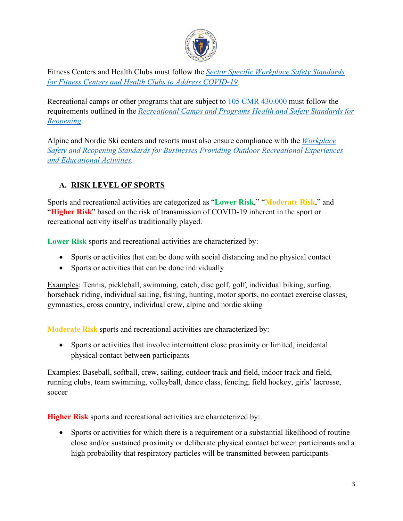

Fitness Centers and Health Clubs must follow the *[Sector Specific Workplace Safety Standards](https://www.mass.gov/info-details/safety-standards-and-checklist-fitness-centers-and-health-clubs)  [for Fitness Centers and Health Clubs to Address COVID-19.](https://www.mass.gov/info-details/safety-standards-and-checklist-fitness-centers-and-health-clubs)*

Recreational camps or other programs that are subject to [105 CMR 430.000](https://www.mass.gov/doc/105-cmr-430-minimum-standards-for-recreational-camps-for-children-state-sanitary-code-chapter/download) must follow the requirements outlined in the *[Recreational Camps and Programs Health and Safety Standards for](https://www.mass.gov/lists/recreational-camps-for-children-community-sanitation#recreation-camps-and-programs-health-and-safety-standards-for-reopening-)  [Reopening](https://www.mass.gov/lists/recreational-camps-for-children-community-sanitation#recreation-camps-and-programs-health-and-safety-standards-for-reopening-)*.

Alpine and Nordic Ski centers and resorts must also ensure compliance with the *[Workplace](https://www.mass.gov/info-details/executive-office-of-energy-and-environmental-affairs-eea-covid-19-guidance-documents)  [Safety and Reopening Standards for Businesses Providing Outdoor Recreational Experiences](https://www.mass.gov/info-details/executive-office-of-energy-and-environmental-affairs-eea-covid-19-guidance-documents)  [and Educational Activities.](https://www.mass.gov/info-details/executive-office-of-energy-and-environmental-affairs-eea-covid-19-guidance-documents)*

## **A. RISK LEVEL OF SPORTS**

Sports and recreational activities are categorized as "**Lower Risk**," "**Moderate Risk**," and "**Higher Risk**" based on the risk of transmission of COVID-19 inherent in the sport or recreational activity itself as traditionally played.

**Lower Risk** sports and recreational activities are characterized by:

- Sports or activities that can be done with social distancing and no physical contact
- Sports or activities that can be done individually

Examples: Tennis, pickleball, swimming, catch, disc golf, golf, individual biking, surfing, horseback riding, individual sailing, fishing, hunting, motor sports, no contact exercise classes, gymnastics, cross country, individual crew, alpine and nordic skiing

**Moderate Risk** sports and recreational activities are characterized by:

• Sports or activities that involve intermittent close proximity or limited, incidental physical contact between participants

Examples: Baseball, softball, crew, sailing, outdoor track and field, indoor track and field, running clubs, team swimming, volleyball, dance class, fencing, field hockey, girls' lacrosse, soccer

**Higher Risk** sports and recreational activities are characterized by:

• Sports or activities for which there is a requirement or a substantial likelihood of routine close and/or sustained proximity or deliberate physical contact between participants and a high probability that respiratory particles will be transmitted between participants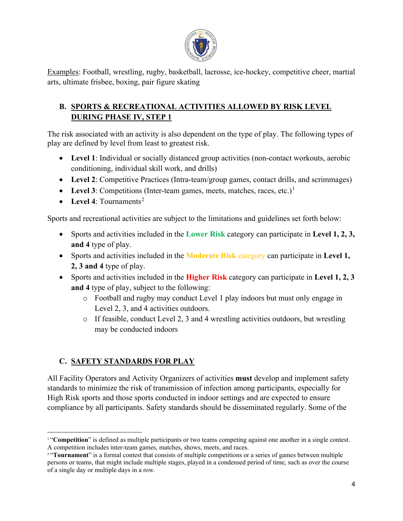

Examples: Football, wrestling, rugby, basketball, lacrosse, ice-hockey, competitive cheer, martial arts, ultimate frisbee, boxing, pair figure skating

## **B. SPORTS & RECREATIONAL ACTIVITIES ALLOWED BY RISK LEVEL DURING PHASE IV, STEP 1**

The risk associated with an activity is also dependent on the type of play. The following types of play are defined by level from least to greatest risk.

- Level 1: Individual or socially distanced group activities (non-contact workouts, aerobic conditioning, individual skill work, and drills)
- Level 2: Competitive Practices (Intra-team/group games, contact drills, and scrimmages)
- Level 3: Competitions (Inter-team games, meets, matches, races, etc.)<sup>[1](#page-3-0)</sup>
- **Level 4**: Tournaments<sup>[2](#page-3-1)</sup>

Sports and recreational activities are subject to the limitations and guidelines set forth below:

- Sports and activities included in the **Lower Risk** category can participate in **Level 1, 2, 3, and 4** type of play.
- Sports and activities included in the **Moderate Risk** category can participate in **Level 1, 2, 3 and 4** type of play.
- Sports and activities included in the **Higher Risk** category can participate in **Level 1, 2, 3 and 4** type of play, subject to the following:
	- o Football and rugby may conduct Level 1 play indoors but must only engage in Level 2, 3, and 4 activities outdoors.
	- $\circ$  If feasible, conduct Level 2, 3 and 4 wrestling activities outdoors, but wrestling may be conducted indoors

### **C. SAFETY STANDARDS FOR PLAY**

All Facility Operators and Activity Organizers of activities **must** develop and implement safety standards to minimize the risk of transmission of infection among participants, especially for High Risk sports and those sports conducted in indoor settings and are expected to ensure compliance by all participants. Safety standards should be disseminated regularly. Some of the

<span id="page-3-0"></span><sup>&</sup>lt;sup>1</sup> "**Competition**" is defined as multiple participants or two teams competing against one another in a single contest. A competition includes inter-team games, matches, shows, meets, and races.

<span id="page-3-1"></span><sup>&</sup>lt;sup>2</sup> "**Tournament**" is a formal contest that consists of multiple competitions or a series of games between multiple persons or teams, that might include multiple stages, played in a condensed period of time, such as over the course of a single day or multiple days in a row.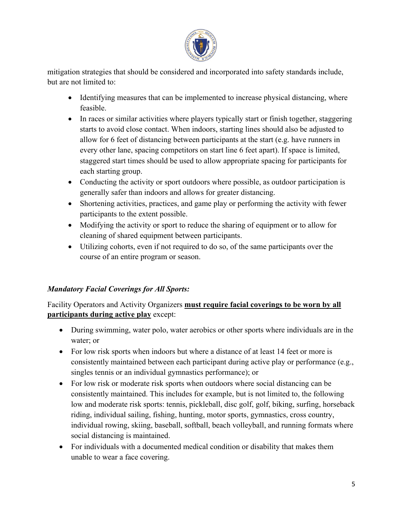

mitigation strategies that should be considered and incorporated into safety standards include, but are not limited to:

- Identifying measures that can be implemented to increase physical distancing, where feasible.
- In races or similar activities where players typically start or finish together, staggering starts to avoid close contact. When indoors, starting lines should also be adjusted to allow for 6 feet of distancing between participants at the start (e.g. have runners in every other lane, spacing competitors on start line 6 feet apart). If space is limited, staggered start times should be used to allow appropriate spacing for participants for each starting group.
- Conducting the activity or sport outdoors where possible, as outdoor participation is generally safer than indoors and allows for greater distancing.
- Shortening activities, practices, and game play or performing the activity with fewer participants to the extent possible.
- Modifying the activity or sport to reduce the sharing of equipment or to allow for cleaning of shared equipment between participants.
- Utilizing cohorts, even if not required to do so, of the same participants over the course of an entire program or season.

### *Mandatory Facial Coverings for All Sports:*

#### Facility Operators and Activity Organizers **must require facial coverings to be worn by all participants during active play** except:

- During swimming, water polo, water aerobics or other sports where individuals are in the water; or
- For low risk sports when indoors but where a distance of at least 14 feet or more is consistently maintained between each participant during active play or performance (e.g., singles tennis or an individual gymnastics performance); or
- For low risk or moderate risk sports when outdoors where social distancing can be consistently maintained. This includes for example, but is not limited to, the following low and moderate risk sports: tennis, pickleball, disc golf, golf, biking, surfing, horseback riding, individual sailing, fishing, hunting, motor sports, gymnastics, cross country, individual rowing, skiing, baseball, softball, beach volleyball, and running formats where social distancing is maintained.
- For individuals with a documented medical condition or disability that makes them unable to wear a face covering.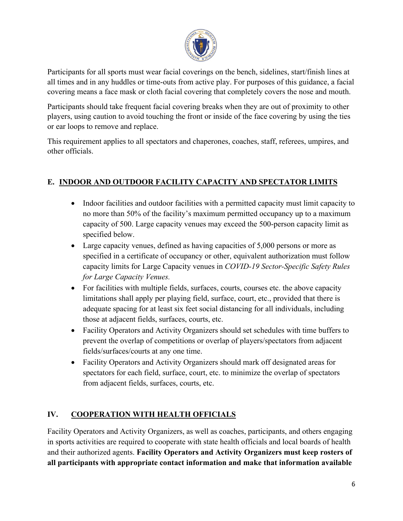

Participants for all sports must wear facial coverings on the bench, sidelines, start/finish lines at all times and in any huddles or time-outs from active play. For purposes of this guidance, a facial covering means a face mask or cloth facial covering that completely covers the nose and mouth.

Participants should take frequent facial covering breaks when they are out of proximity to other players, using caution to avoid touching the front or inside of the face covering by using the ties or ear loops to remove and replace.

This requirement applies to all spectators and chaperones, coaches, staff, referees, umpires, and other officials.

### **E. INDOOR AND OUTDOOR FACILITY CAPACITY AND SPECTATOR LIMITS**

- Indoor facilities and outdoor facilities with a permitted capacity must limit capacity to no more than 50% of the facility's maximum permitted occupancy up to a maximum capacity of 500. Large capacity venues may exceed the 500-person capacity limit as specified below.
- Large capacity venues, defined as having capacities of 5,000 persons or more as specified in a certificate of occupancy or other, equivalent authorization must follow capacity limits for Large Capacity venues in *COVID-19 Sector-Specific Safety Rules for Large Capacity Venues.*
- For facilities with multiple fields, surfaces, courts, courses etc. the above capacity limitations shall apply per playing field, surface, court, etc., provided that there is adequate spacing for at least six feet social distancing for all individuals, including those at adjacent fields, surfaces, courts, etc.
- Facility Operators and Activity Organizers should set schedules with time buffers to prevent the overlap of competitions or overlap of players/spectators from adjacent fields/surfaces/courts at any one time.
- Facility Operators and Activity Organizers should mark off designated areas for spectators for each field, surface, court, etc. to minimize the overlap of spectators from adjacent fields, surfaces, courts, etc.

# **IV. COOPERATION WITH HEALTH OFFICIALS**

Facility Operators and Activity Organizers, as well as coaches, participants, and others engaging in sports activities are required to cooperate with state health officials and local boards of health and their authorized agents. **Facility Operators and Activity Organizers must keep rosters of all participants with appropriate contact information and make that information available**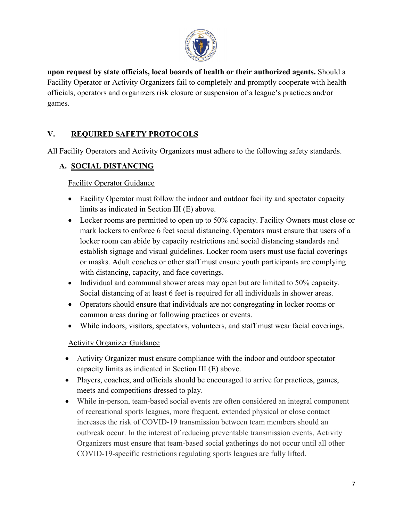

**upon request by state officials, local boards of health or their authorized agents.** Should a Facility Operator or Activity Organizers fail to completely and promptly cooperate with health officials, operators and organizers risk closure or suspension of a league's practices and/or games.

### **V. REQUIRED SAFETY PROTOCOLS**

All Facility Operators and Activity Organizers must adhere to the following safety standards.

### **A. SOCIAL DISTANCING**

Facility Operator Guidance

- Facility Operator must follow the indoor and outdoor facility and spectator capacity limits as indicated in Section III (E) above.
- Locker rooms are permitted to open up to 50% capacity. Facility Owners must close or mark lockers to enforce 6 feet social distancing. Operators must ensure that users of a locker room can abide by capacity restrictions and social distancing standards and establish signage and visual guidelines. Locker room users must use facial coverings or masks. Adult coaches or other staff must ensure youth participants are complying with distancing, capacity, and face coverings.
- Individual and communal shower areas may open but are limited to 50% capacity. Social distancing of at least 6 feet is required for all individuals in shower areas.
- Operators should ensure that individuals are not congregating in locker rooms or common areas during or following practices or events.
- While indoors, visitors, spectators, volunteers, and staff must wear facial coverings.

#### Activity Organizer Guidance

- Activity Organizer must ensure compliance with the indoor and outdoor spectator capacity limits as indicated in Section III (E) above.
- Players, coaches, and officials should be encouraged to arrive for practices, games, meets and competitions dressed to play.
- While in-person, team-based social events are often considered an integral component of recreational sports leagues, more frequent, extended physical or close contact increases the risk of COVID-19 transmission between team members should an outbreak occur. In the interest of reducing preventable transmission events, Activity Organizers must ensure that team-based social gatherings do not occur until all other COVID-19-specific restrictions regulating sports leagues are fully lifted.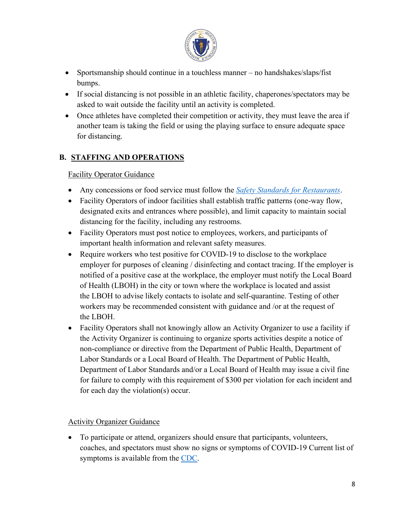

- Sportsmanship should continue in a touchless manner no handshakes/slaps/fist bumps.
- If social distancing is not possible in an athletic facility, chaperones/spectators may be asked to wait outside the facility until an activity is completed.
- Once athletes have completed their competition or activity, they must leave the area if another team is taking the field or using the playing surface to ensure adequate space for distancing.

### **B. STAFFING AND OPERATIONS**

Facility Operator Guidance

- Any concessions or food service must follow the *[Safety Standards for Restaurants](https://www.mass.gov/info-details/safety-standards-and-checklist-restaurants)*.
- Facility Operators of indoor facilities shall establish traffic patterns (one-way flow, designated exits and entrances where possible), and limit capacity to maintain social distancing for the facility, including any restrooms.
- Facility Operators must post notice to employees, workers, and participants of important health information and relevant safety measures.
- Require workers who test positive for COVID-19 to disclose to the workplace employer for purposes of cleaning / disinfecting and contact tracing. If the employer is notified of a positive case at the workplace, the employer must notify the Local Board of Health (LBOH) in the city or town where the workplace is located and assist the LBOH to advise likely contacts to isolate and self-quarantine. Testing of other workers may be recommended consistent with guidance and /or at the request of the LBOH.
- Facility Operators shall not knowingly allow an Activity Organizer to use a facility if the Activity Organizer is continuing to organize sports activities despite a notice of non-compliance or directive from the Department of Public Health, Department of Labor Standards or a Local Board of Health. The Department of Public Health, Department of Labor Standards and/or a Local Board of Health may issue a civil fine for failure to comply with this requirement of \$300 per violation for each incident and for each day the violation(s) occur.

#### Activity Organizer Guidance

• To participate or attend, organizers should ensure that participants, volunteers, coaches, and spectators must show no signs or symptoms of COVID-19 Current list of symptoms is available from the [CDC.](https://www.cdc.gov/coronavirus/2019-ncov/symptoms-testing/symptoms.html)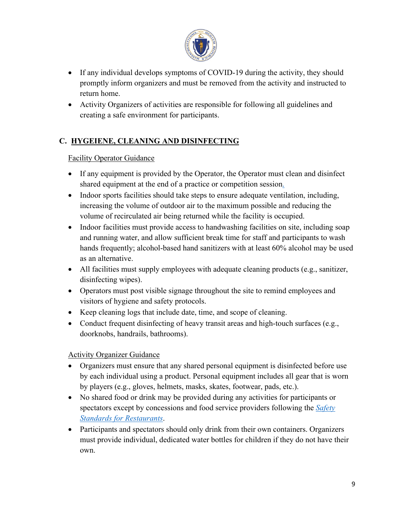

- If any individual develops symptoms of COVID-19 during the activity, they should promptly inform organizers and must be removed from the activity and instructed to return home.
- Activity Organizers of activities are responsible for following all guidelines and creating a safe environment for participants.

# **C. HYGEIENE, CLEANING AND DISINFECTING**

#### Facility Operator Guidance

- If any equipment is provided by the Operator, the Operator must clean and disinfect shared equipment at the end of a practice or competition session.
- Indoor sports facilities should take steps to ensure adequate ventilation, including, increasing the volume of outdoor air to the maximum possible and reducing the volume of recirculated air being returned while the facility is occupied.
- Indoor facilities must provide access to handwashing facilities on site, including soap and running water, and allow sufficient break time for staff and participants to wash hands frequently; alcohol-based hand sanitizers with at least 60% alcohol may be used as an alternative.
- All facilities must supply employees with adequate cleaning products (e.g., sanitizer, disinfecting wipes).
- Operators must post visible signage throughout the site to remind employees and visitors of hygiene and safety protocols.
- Keep cleaning logs that include date, time, and scope of cleaning.
- Conduct frequent disinfecting of heavy transit areas and high-touch surfaces (e.g., doorknobs, handrails, bathrooms).

#### Activity Organizer Guidance

- Organizers must ensure that any shared personal equipment is disinfected before use by each individual using a product. Personal equipment includes all gear that is worn by players (e.g., gloves, helmets, masks, skates, footwear, pads, etc.).
- No shared food or drink may be provided during any activities for participants or spectators except by concessions and food service providers following the *[Safety](https://www.mass.gov/info-details/safety-standards-and-checklist-restaurants)  [Standards for Restaurants](https://www.mass.gov/info-details/safety-standards-and-checklist-restaurants)*.
- Participants and spectators should only drink from their own containers. Organizers must provide individual, dedicated water bottles for children if they do not have their own.